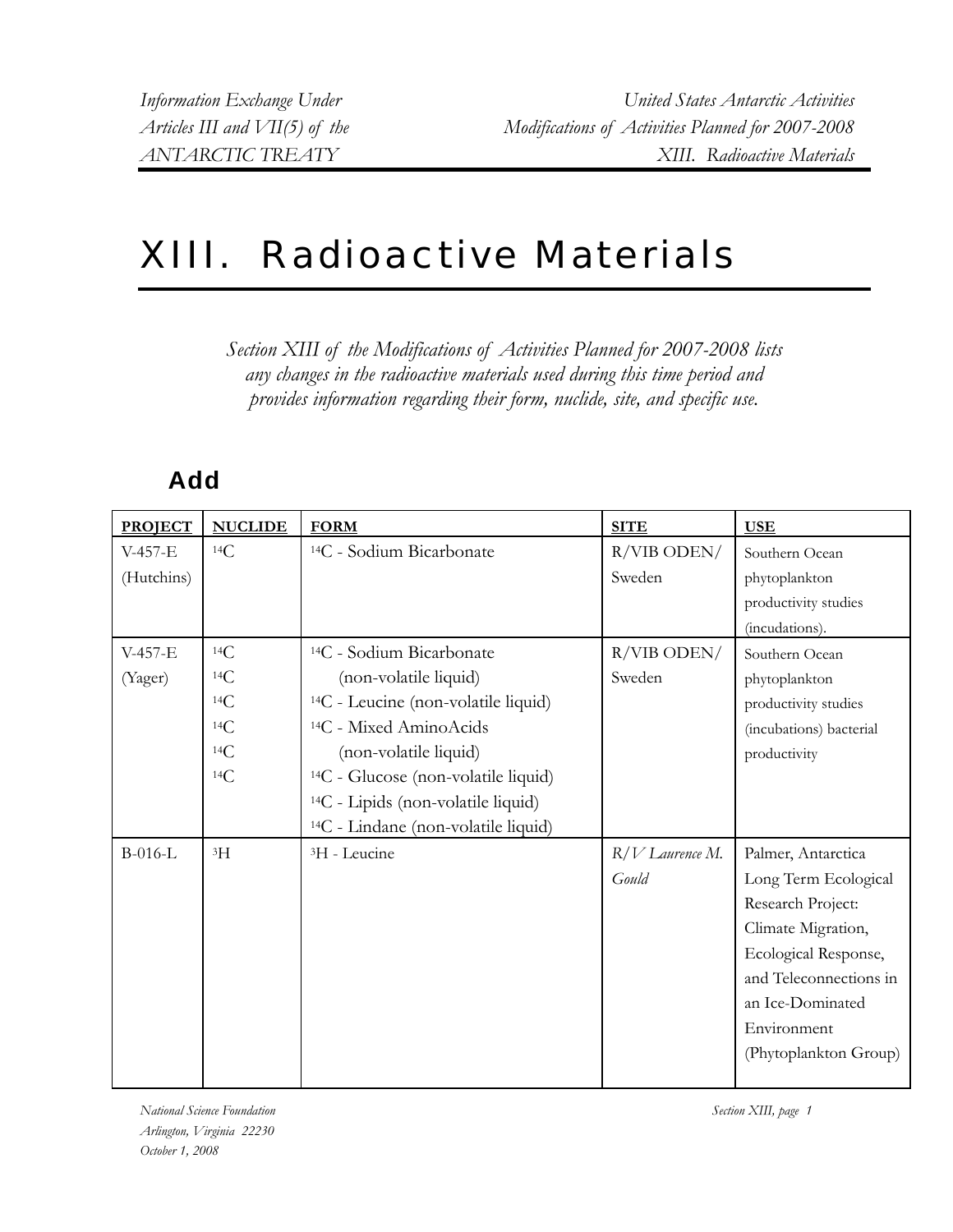## XIII. Radioactive Materials

*Section XIII of the Modifications of Activities Planned for 2007-2008 lists any changes in the radioactive materials used during this time period and provides information regarding their form, nuclide, site, and specific use.* 

## **Add**

| <b>PROJECT</b> | <b>NUCLIDE</b> | <b>FORM</b>                                     | <b>SITE</b>       | <b>USE</b>              |
|----------------|----------------|-------------------------------------------------|-------------------|-------------------------|
| V-457-E        | 14C            | <sup>14</sup> C - Sodium Bicarbonate            | R/VIB ODEN/       | Southern Ocean          |
| (Hutchins)     |                |                                                 | Sweden            | phytoplankton           |
|                |                |                                                 |                   | productivity studies    |
|                |                |                                                 |                   | (incudations).          |
| $V-457-E$      | 14C            | <sup>14</sup> C - Sodium Bicarbonate            | $R/VIB$ ODEN/     | Southern Ocean          |
| (Yager)        | 14C            | (non-volatile liquid)                           | Sweden            | phytoplankton           |
|                | 14C            | <sup>14</sup> C - Leucine (non-volatile liquid) |                   | productivity studies    |
|                | 14C            | <sup>14</sup> C - Mixed AminoAcids              |                   | (incubations) bacterial |
|                | 14C            | (non-volatile liquid)                           |                   | productivity            |
|                | 14C            | <sup>14</sup> C - Glucose (non-volatile liquid) |                   |                         |
|                |                | <sup>14</sup> C - Lipids (non-volatile liquid)  |                   |                         |
|                |                | <sup>14</sup> C - Lindane (non-volatile liquid) |                   |                         |
| B-016-L        | 3H             | <sup>3</sup> H - Leucine                        | $R/V$ Laurence M. | Palmer, Antarctica      |
|                |                |                                                 | Gould             | Long Term Ecological    |
|                |                |                                                 |                   | Research Project:       |
|                |                |                                                 |                   | Climate Migration,      |
|                |                |                                                 |                   | Ecological Response,    |
|                |                |                                                 |                   | and Teleconnections in  |
|                |                |                                                 |                   | an Ice-Dominated        |
|                |                |                                                 |                   | Environment             |
|                |                |                                                 |                   | (Phytoplankton Group)   |
|                |                |                                                 |                   |                         |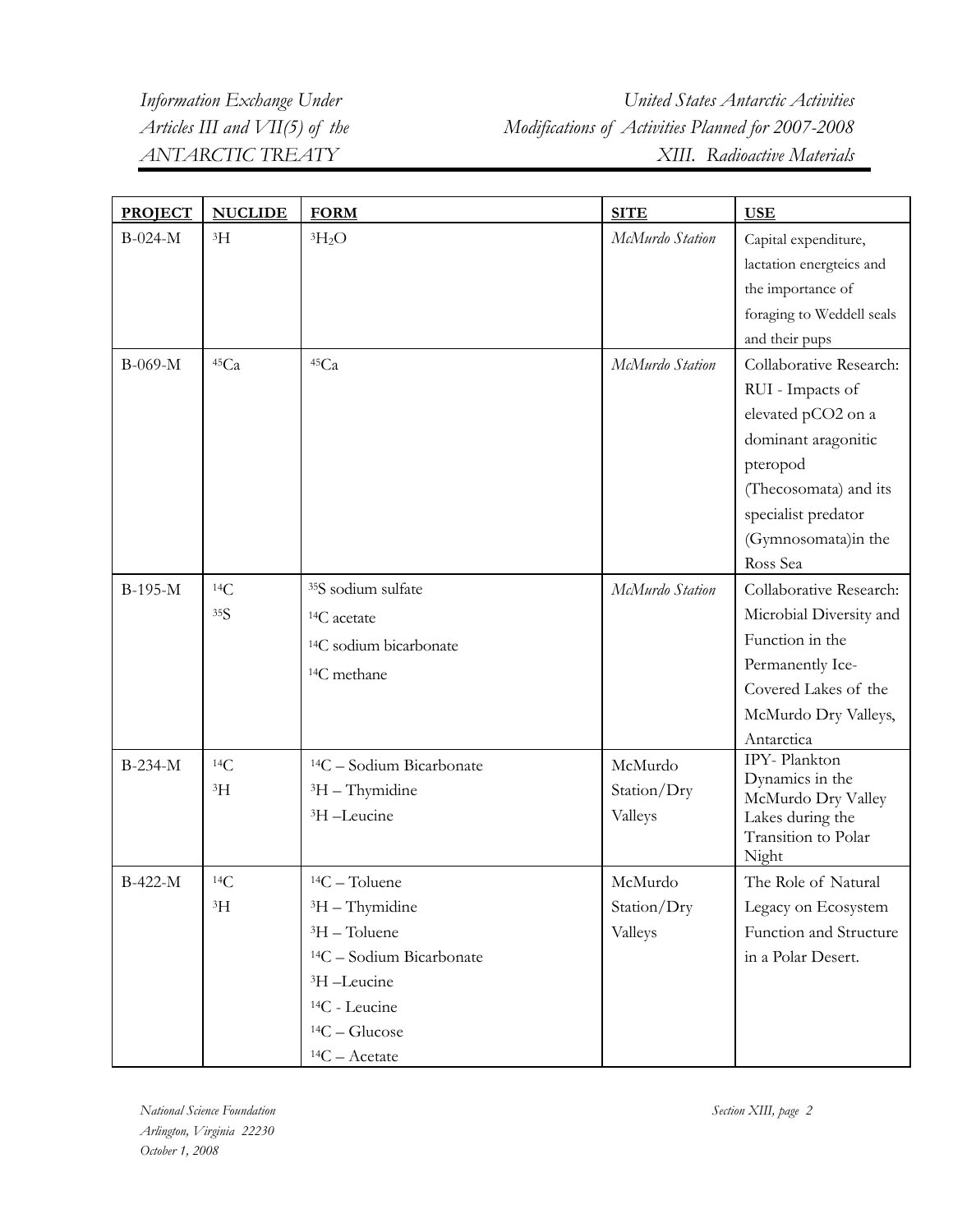*Information Exchange Under United States Antarctic Activities Articles III and VII(5) of the Modifications of Activities Planned for 2007-2008 ANTARCTIC TREATY XIII. Radioactive Materials* 

| $B-024-M$<br>${}^{3}H$<br>${}^{3}H_{2}O$<br>McMurdo Station<br>Capital expenditure,                                |  |
|--------------------------------------------------------------------------------------------------------------------|--|
|                                                                                                                    |  |
| lactation energteics and                                                                                           |  |
| the importance of                                                                                                  |  |
| foraging to Weddell seals                                                                                          |  |
| and their pups                                                                                                     |  |
| 45Ca<br>45Ca<br>Collaborative Research:<br>B-069-M<br>McMurdo Station                                              |  |
| RUI - Impacts of                                                                                                   |  |
| elevated pCO2 on a                                                                                                 |  |
| dominant aragonitic                                                                                                |  |
| pteropod                                                                                                           |  |
| (Thecosomata) and its                                                                                              |  |
| specialist predator                                                                                                |  |
| (Gymnosomata)in the                                                                                                |  |
| Ross Sea                                                                                                           |  |
| <sup>35</sup> S sodium sulfate<br>14C<br>Collaborative Research:<br>$B-195-M$<br>McMurdo Station                   |  |
| 35S<br>Microbial Diversity and<br><sup>14</sup> C acetate                                                          |  |
| Function in the<br><sup>14</sup> C sodium bicarbonate                                                              |  |
| Permanently Ice-<br><sup>14</sup> C methane                                                                        |  |
| Covered Lakes of the                                                                                               |  |
| McMurdo Dry Valleys,                                                                                               |  |
| Antarctica                                                                                                         |  |
| IPY-Plankton<br>14C<br>B-234-M<br>$14C -$ Sodium Bicarbonate<br>McMurdo                                            |  |
| Dynamics in the<br>${}^{3}H$<br>${}^{3}H$ – Thymidine<br>Station/Dry<br>McMurdo Dry Valley                         |  |
| <sup>3</sup> H-Leucine<br>Valleys<br>Lakes during the                                                              |  |
| Transition to Polar                                                                                                |  |
| Night<br>B-422-M<br>14C<br>McMurdo                                                                                 |  |
| $14C - Toluene$<br>The Role of Natural<br>${}^{3}H$<br>Station/Dry<br>${}^{3}H$ – Thymidine<br>Legacy on Ecosystem |  |
| <sup>3</sup> H - Toluene<br>Function and Structure                                                                 |  |
| Valleys<br><sup>14</sup> C - Sodium Bicarbonate<br>in a Polar Desert.                                              |  |
| <sup>3</sup> H-Leucine                                                                                             |  |
| <sup>14</sup> C - Leucine                                                                                          |  |
| $14C - Glucose$                                                                                                    |  |
| $14C -$ Acetate                                                                                                    |  |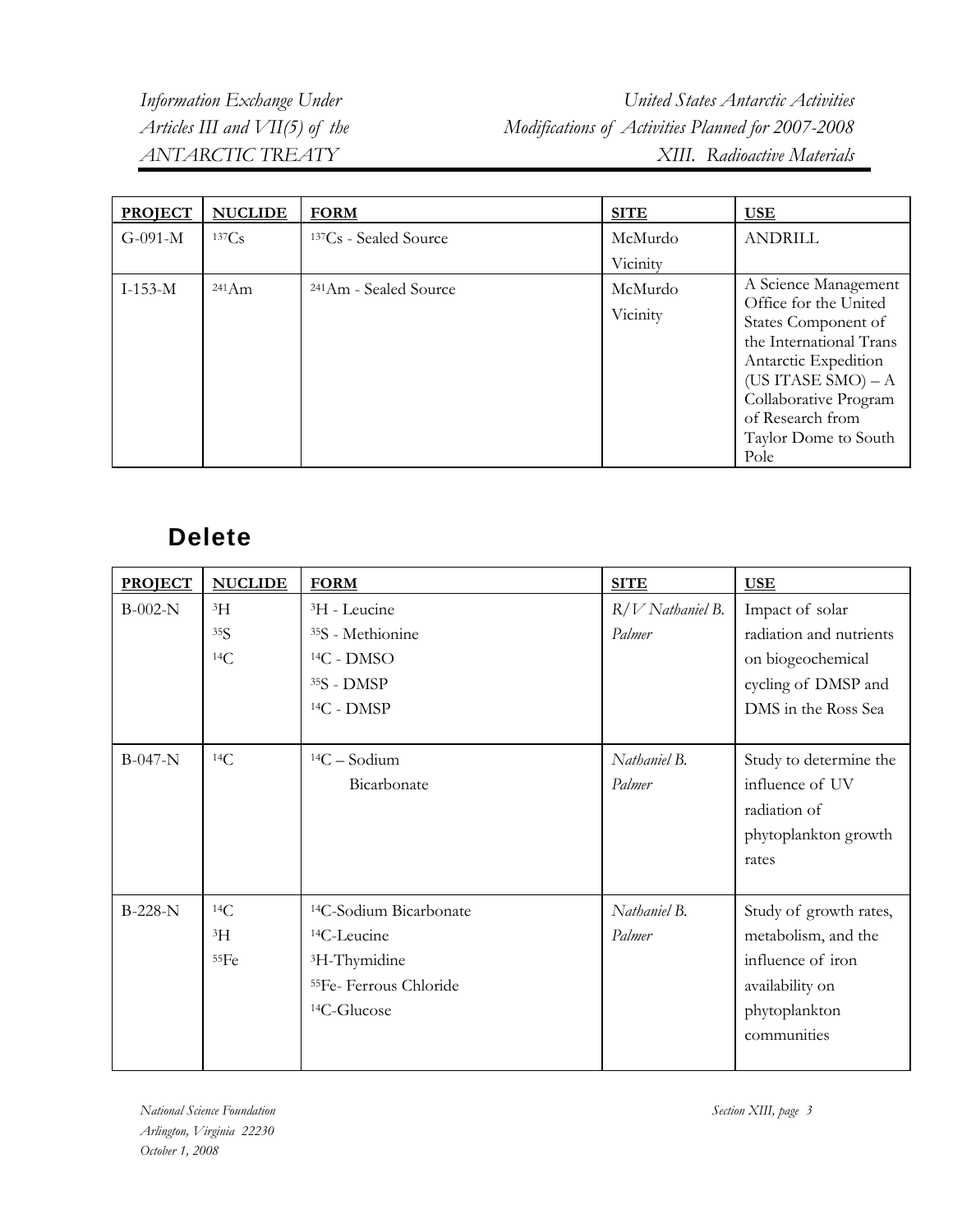*Information Exchange Under United States Antarctic Activities Articles III and VII(5) of the Modifications of Activities Planned for 2007-2008 ANTARCTIC TREATY XIII. Radioactive Materials* 

| <b>PROJECT</b> | <b>NUCLIDE</b>  | <b>FORM</b>                       | <b>SITE</b>         | <u>USE</u>                                                                                                                                                                                                                   |
|----------------|-----------------|-----------------------------------|---------------------|------------------------------------------------------------------------------------------------------------------------------------------------------------------------------------------------------------------------------|
| $G-091-M$      | 137Cs           | <sup>137</sup> Cs - Sealed Source | McMurdo             | <b>ANDRILL</b>                                                                                                                                                                                                               |
|                |                 |                                   | Vicinity            |                                                                                                                                                                                                                              |
| $I-153-M$      | $241 \text{Am}$ | <sup>241</sup> Am - Sealed Source | McMurdo<br>Vicinity | A Science Management<br>Office for the United<br>States Component of<br>the International Trans<br>Antarctic Expedition<br>(US ITASE SMO) $- A$<br>Collaborative Program<br>of Research from<br>Taylor Dome to South<br>Pole |

## **Delete**

| <b>PROJECT</b> | <b>NUCLIDE</b> | <b>FORM</b>                        | <b>SITE</b>        | <b>USE</b>              |
|----------------|----------------|------------------------------------|--------------------|-------------------------|
| $B-002-N$      | 3H             | <sup>3</sup> H - Leucine           | $R/V$ Nathaniel B. | Impact of solar         |
|                | 35S            | <sup>35</sup> S - Methionine       | Palmer             | radiation and nutrients |
|                | 14C            | $14C - DMSO$                       |                    | on biogeochemical       |
|                |                | 35S - DMSP                         |                    | cycling of DMSP and     |
|                |                | $14C - DMSP$                       |                    | DMS in the Ross Sea     |
|                |                |                                    |                    |                         |
| $B-047-N$      | 14C            | $14C -$ Sodium                     | Nathaniel B.       | Study to determine the  |
|                |                | Bicarbonate                        | Palmer             | influence of UV         |
|                |                |                                    |                    | radiation of            |
|                |                |                                    |                    | phytoplankton growth    |
|                |                |                                    |                    | rates                   |
|                |                |                                    |                    |                         |
| <b>B-228-N</b> | 14C            | <sup>14</sup> C-Sodium Bicarbonate | Nathaniel B.       | Study of growth rates,  |
|                | $\rm{^{3}H}$   | <sup>14</sup> C-Leucine            | Palmer             | metabolism, and the     |
|                | 55Fe           | <sup>3</sup> H-Thymidine           |                    | influence of iron       |
|                |                | <sup>55</sup> Fe-Ferrous Chloride  |                    | availability on         |
|                |                | <sup>14</sup> C-Glucose            |                    | phytoplankton           |
|                |                |                                    |                    | communities             |
|                |                |                                    |                    |                         |

*National Science Foundation Section XIII, page 3 Arlington, Virginia 22230 October 1, 2008*